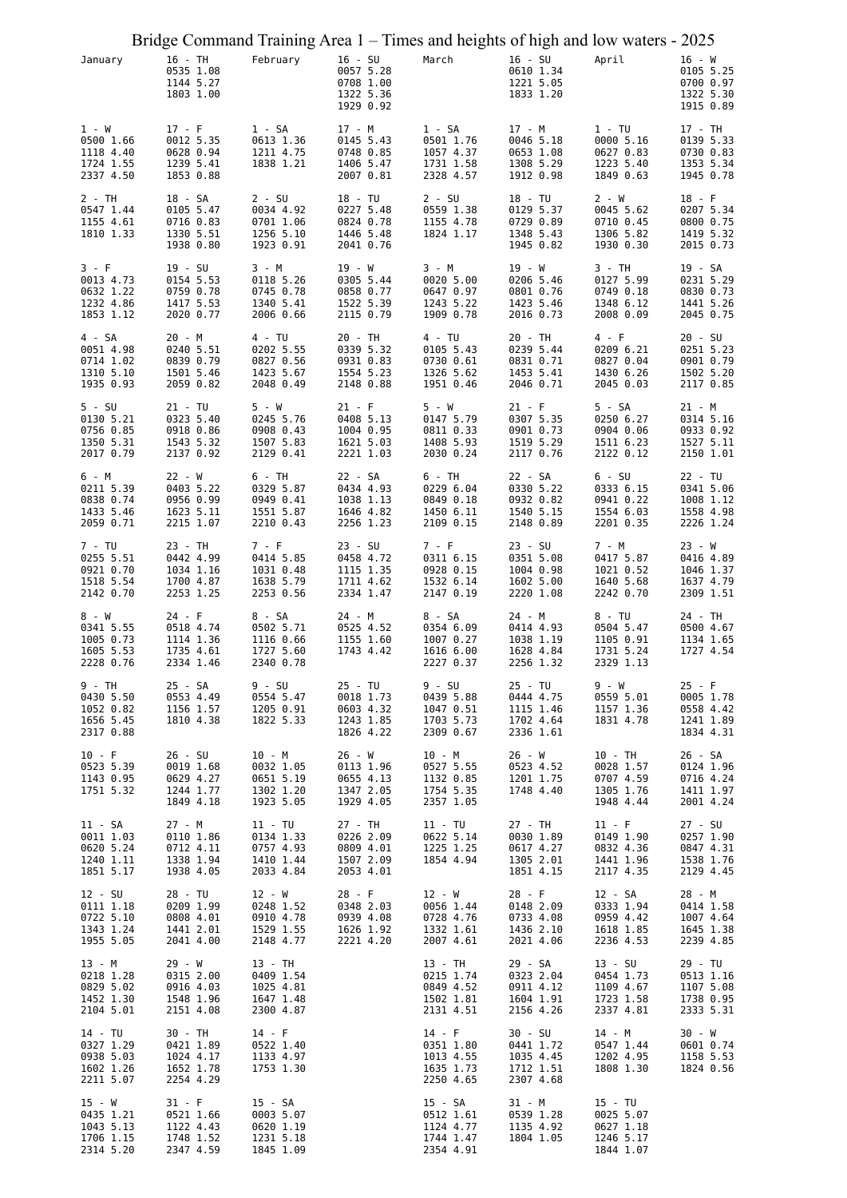| Bridge Command Training Area 1 – Times and heights of high and low waters - 2025 |                                                               |                                                               |                                                               |                                                              |                                                              |                                                               |                                                              |
|----------------------------------------------------------------------------------|---------------------------------------------------------------|---------------------------------------------------------------|---------------------------------------------------------------|--------------------------------------------------------------|--------------------------------------------------------------|---------------------------------------------------------------|--------------------------------------------------------------|
| January                                                                          | 16 - TH<br>0535 1.08<br>1144 5.27<br>1803 1.00                | February                                                      | $16 - SU$<br>0057 5.28<br>0708 1.00<br>1322 5.36<br>1929 0.92 | March                                                        | $16 - SU$<br>0610 1.34<br>1221 5.05<br>1833 1.20             | April                                                         | $16 - W$<br>0105 5.25<br>0700 0.97<br>1322 5.30<br>1915 0.89 |
| $1 - W$<br>0500 1.66<br>1118 4.40<br>1724 1.55<br>2337 4.50                      | $17 - F$<br>0012 5.35<br>0628 0.94<br>1239 5.41<br>1853 0.88  | 1 - SA<br>0613 1.36<br>1211 4.75<br>1838 1.21                 | 17 - M<br>0145 5.43<br>0748 0.85<br>1406 5.47<br>2007 0.81    | $1 - SA$<br>0501 1.76<br>1057 4.37<br>1731 1.58<br>2328 4.57 | 17 - M<br>0046 5.18<br>0653 1.08<br>1308 5.29<br>1912 0.98   | $1 - TU$<br>0000 5.16<br>0627 0.83<br>1223 5.40<br>1849 0.63  | 17 - TH<br>0139 5.33<br>0730 0.83<br>1353 5.34<br>1945 0.78  |
| 2 - TH<br>0547 1.44<br>1155 4.61<br>1810 1.33                                    | 18 - SA<br>0105 5.47<br>0716 0.83<br>1330 5.51<br>1938 0.80   | $2 - SU$<br>0034 4.92<br>0701 1.06<br>1256 5.10<br>1923 0.91  | 18 - TU<br>0227 5.48<br>0824 0.78<br>1446 5.48<br>2041 0.76   | $2 - SU$<br>0559 1.38<br>1155 4.78<br>1824 1.17              | 18 - TU<br>0129 5.37<br>0729 0.89<br>1348 5.43<br>1945 0.82  | 2 - W<br>0045 5.62<br>0710 0.45<br>1306 5.82<br>1930 0.30     | $18 - F$<br>0207 5.34<br>0800 0.75<br>1419 5.32<br>2015 0.73 |
| 3 - F<br>0013 4.73<br>0632 1.22<br>1232 4.86<br>1853 1.12                        | 19 - SU<br>0154 5.53<br>0759 0.78<br>1417 5.53<br>2020 0.77   | 3 - M<br>0118 5.26<br>0745 0.78<br>1340 5.41<br>2006 0.66     | 19 - W<br>0305 5.44<br>0858 0.77<br>1522 5.39<br>2115 0.79    | 3 - M<br>0020 5.00<br>0647 0.97<br>1243 5.22<br>1909 0.78    | 19 - W<br>0206 5.46<br>0801 0.76<br>1423 5.46<br>2016 0.73   | 3 - TH<br>0127 5.99<br>0749 0.18<br>1348 6.12<br>2008 0.09    | 19 - SA<br>0231 5.29<br>0830 0.73<br>1441 5.26<br>2045 0.75  |
| 4 - SA<br>0051 4.98<br>0714 1.02<br>1310 5.10<br>1935 0.93                       | 20 - M<br>0240 5.51<br>0839 0.79<br>1501 5.46<br>2059 0.82    | 4 - TU<br>0202 5.55<br>0827 0.56<br>1423 5.67<br>2048 0.49    | 20 - TH<br>0339 5.32<br>0931 0.83<br>1554 5.23<br>2148 0.88   | $4 - TU$<br>0105 5.43<br>0730 0.61<br>1326 5.62<br>1951 0.46 | 20 - TH<br>0239 5.44<br>0831 0.71<br>1453 5.41<br>2046 0.71  | 4 - F<br>0209 6.21<br>0827 0.04<br>1430 6.26<br>2045 0.03     | 20 - SU<br>0251 5.23<br>0901 0.79<br>1502 5.20<br>2117 0.85  |
| $5 - SU$<br>0130 5.21<br>0756 0.85<br>1350 5.31<br>2017 0.79                     | $21 - TU$<br>0323 5.40<br>0918 0.86<br>1543 5.32<br>2137 0.92 | $5 - W$<br>0245 5.76<br>0908 0.43<br>1507 5.83<br>2129 0.41   | $21 - F$<br>0408 5.13<br>1004 0.95<br>1621 5.03<br>2221 1.03  | 5 - W<br>0147 5.79<br>0811 0.33<br>1408 5.93<br>2030 0.24    | $21 - F$<br>0307 5.35<br>0901 0.73<br>1519 5.29<br>2117 0.76 | 5 - SA<br>0250 6.27<br>0904 0.06<br>1511 6.23<br>2122 0.12    | 21 - M<br>0314 5.16<br>0933 0.92<br>1527 5.11<br>2150 1.01   |
| 6 - M<br>0211 5.39<br>0838 0.74<br>1433 5.46<br>2059 0.71                        | $22 - W$<br>0403 5.22<br>0956 0.99<br>1623 5.11<br>2215 1.07  | 6 - TH<br>0329 5.87<br>0949 0.41<br>1551 5.87<br>2210 0.43    | 22 - SA<br>0434 4.93<br>1038 1.13<br>1646 4.82<br>2256 1.23   | 6 - TH<br>0229 6.04<br>0849 0.18<br>1450 6.11<br>2109 0.15   | 22 - SA<br>0330 5.22<br>0932 0.82<br>1540 5.15<br>2148 0.89  | $6 - SU$<br>0333 6.15<br>0941 0.22<br>1554 6.03<br>2201 0.35  | 22 - TU<br>0341 5.06<br>1008 1.12<br>1558 4.98<br>2226 1.24  |
| 7 - TU<br>0255 5.51<br>0921 0.70<br>1518 5.54<br>2142 0.70                       | 23 - TH<br>0442 4.99<br>1034 1.16<br>1700 4.87<br>2253 1.25   | 7 - F<br>0414 5.85<br>1031 0.48<br>1638 5.79<br>2253 0.56     | $23 - SU$<br>0458 4.72<br>1115 1.35<br>1711 4.62<br>2334 1.47 | 7 - F<br>0311 6.15<br>0928 0.15<br>1532 6.14<br>2147 0.19    | 23 - SU<br>0351 5.08<br>1004 0.98<br>1602 5.00<br>2220 1.08  | 7 - M<br>0417 5.87<br>1021 0.52<br>1640 5.68<br>2242 0.70     | 23 - W<br>0416 4.89<br>1046 1.37<br>1637 4.79<br>2309 1.51   |
| 8 - W<br>0341 5.55<br>1005 0.73<br>1605 5.53<br>2228 0.76                        | $24 - F$<br>0518 4.74<br>1114 1.36<br>1735 4.61<br>2334 1.46  | 8 - SA<br>0502 5.71<br>1116 0.66<br>1727 5.60<br>2340 0.78    | 24 - M<br>0525 4.52<br>1155 1.60<br>1743 4.42                 | 8 - SA<br>0354 6.09<br>1007 0.27<br>1616 6.00<br>2227 0.37   | 24 - M<br>0414 4.93<br>1038 1.19<br>1628 4.84<br>2256 1.32   | $8 - TU$<br>0504 5.47<br>1105 0.91<br>1731 5.24<br>2329 1.13  | 24 - TH<br>0500 4.67<br>1134 1.65<br>1727 4.54               |
| 9 - TH<br>0430 5.50<br>1052 0.82<br>1656 5.45<br>2317 0.88                       | 25 - SA<br>0553 4.49<br>1156 1.57<br>1810 4.38                | 9 - SU<br>0554 5.47<br>1205 0.91<br>1822 5.33                 | 25 - TU<br>0018 1.73<br>0603 4.32<br>1243 1.85<br>1826 4.22   | 9 - SU<br>0439 5.88<br>1047 0.51<br>1703 5.73<br>2309 0.67   | 25 - TU<br>0444 4.75<br>1115 1.46<br>1702 4.64<br>2336 1.61  | 9 - W<br>0559 5.01<br>1157 1.36<br>1831 4.78                  | $25 - F$<br>0005 1.78<br>0558 4.42<br>1241 1.89<br>1834 4.31 |
| $10 - F$<br>0523 5.39<br>1143 0.95<br>1751 5.32                                  | 26 - SU<br>0019 1.68<br>0629 4.27<br>1244 1.77<br>1849 4.18   | 10 - M<br>0032 1.05<br>0651 5.19<br>1302 1.20<br>1923 5.05    | $26 - W$<br>0113 1.96<br>0655 4.13<br>1347 2.05<br>1929 4.05  | 10 - M<br>0527 5.55<br>1132 0.85<br>1754 5.35<br>2357 1.05   | 26 - W<br>0523 4.52<br>1201 1.75<br>1748 4.40                | 10 - TH<br>0028 1.57<br>0707 4.59<br>1305 1.76<br>1948 4.44   | 26 - SA<br>0124 1.96<br>0716 4.24<br>1411 1.97<br>2001 4.24  |
| 11 - SA<br>0011 1.03<br>0620 5.24<br>1240 1.11<br>1851 5.17                      | 27 - M<br>0110 1.86<br>0712 4.11<br>1338 1.94<br>1938 4.05    | $11 - TU$<br>0134 1.33<br>0757 4.93<br>1410 1.44<br>2033 4.84 | 27 - TH<br>0226 2.09<br>0809 4.01<br>1507 2.09<br>2053 4.01   | 11 - TU<br>0622 5.14<br>1225 1.25<br>1854 4.94               | 27 - TH<br>0030 1.89<br>0617 4.27<br>1305 2.01<br>1851 4.15  | $11 - F$<br>0149 1.90<br>0832 4.36<br>1441 1.96<br>2117 4.35  | 27 - SU<br>0257 1.90<br>0847 4.31<br>1538 1.76<br>2129 4.45  |
| 12 - SU<br>0111 1.18<br>0722 5.10<br>1343 1.24<br>1955 5.05                      | 28 - TU<br>0209 1.99<br>0808 4.01<br>1441 2.01<br>2041 4.00   | 12 - W<br>0248 1.52<br>0910 4.78<br>1529 1.55<br>2148 4.77    | $28 - F$<br>0348 2.03<br>0939 4.08<br>1626 1.92<br>2221 4.20  | 12 - W<br>0056 1.44<br>0728 4.76<br>1332 1.61<br>2007 4.61   | $28 - F$<br>0148 2.09<br>0733 4.08<br>1436 2.10<br>2021 4.06 | 12 - SA<br>0333 1.94<br>0959 4.42<br>1618 1.85<br>2236 4.53   | 28 - M<br>0414 1.58<br>1007 4.64<br>1645 1.38<br>2239 4.85   |
| 13 - M<br>0218 1.28<br>0829 5.02<br>1452 1.30<br>2104 5.01                       | 29 - W<br>0315 2.00<br>0916 4.03<br>1548 1.96<br>2151 4.08    | 13 - TH<br>0409 1.54<br>1025 4.81<br>1647 1.48<br>2300 4.87   |                                                               | 13 - TH<br>0215 1.74<br>0849 4.52<br>1502 1.81<br>2131 4.51  | 29 - SA<br>0323 2.04<br>0911 4.12<br>1604 1.91<br>2156 4.26  | 13 - SU<br>0454 1.73<br>1109 4.67<br>1723 1.58<br>2337 4.81   | 29 - TU<br>0513 1.16<br>1107 5.08<br>1738 0.95<br>2333 5.31  |
| 14 - TU<br>0327 1.29<br>0938 5.03<br>1602 1.26<br>2211 5.07                      | 30 - TH<br>0421 1.89<br>1024 4.17<br>1652 1.78<br>2254 4.29   | $14 - F$<br>0522 1.40<br>1133 4.97<br>1753 1.30               |                                                               | $14 - F$<br>0351 1.80<br>1013 4.55<br>1635 1.73<br>2250 4.65 | 30 - SU<br>0441 1.72<br>1035 4.45<br>1712 1.51<br>2307 4.68  | 14 - M<br>0547 1.44<br>1202 4.95<br>1808 1.30                 | 30 - W<br>0601 0.74<br>1158 5.53<br>1824 0.56                |
| 15 - W<br>0435 1.21<br>1043 5.13<br>1706 1.15<br>2314 5.20                       | $31 - F$<br>0521 1.66<br>1122 4.43<br>1748 1.52<br>2347 4.59  | 15 - SA<br>0003 5.07<br>0620 1.19<br>1231 5.18<br>1845 1.09   |                                                               | 15 - SA<br>0512 1.61<br>1124 4.77<br>1744 1.47<br>2354 4.91  | 31 - M<br>0539 1.28<br>1135 4.92<br>1804 1.05                | $15 - TU$<br>0025 5.07<br>0627 1.18<br>1246 5.17<br>1844 1.07 |                                                              |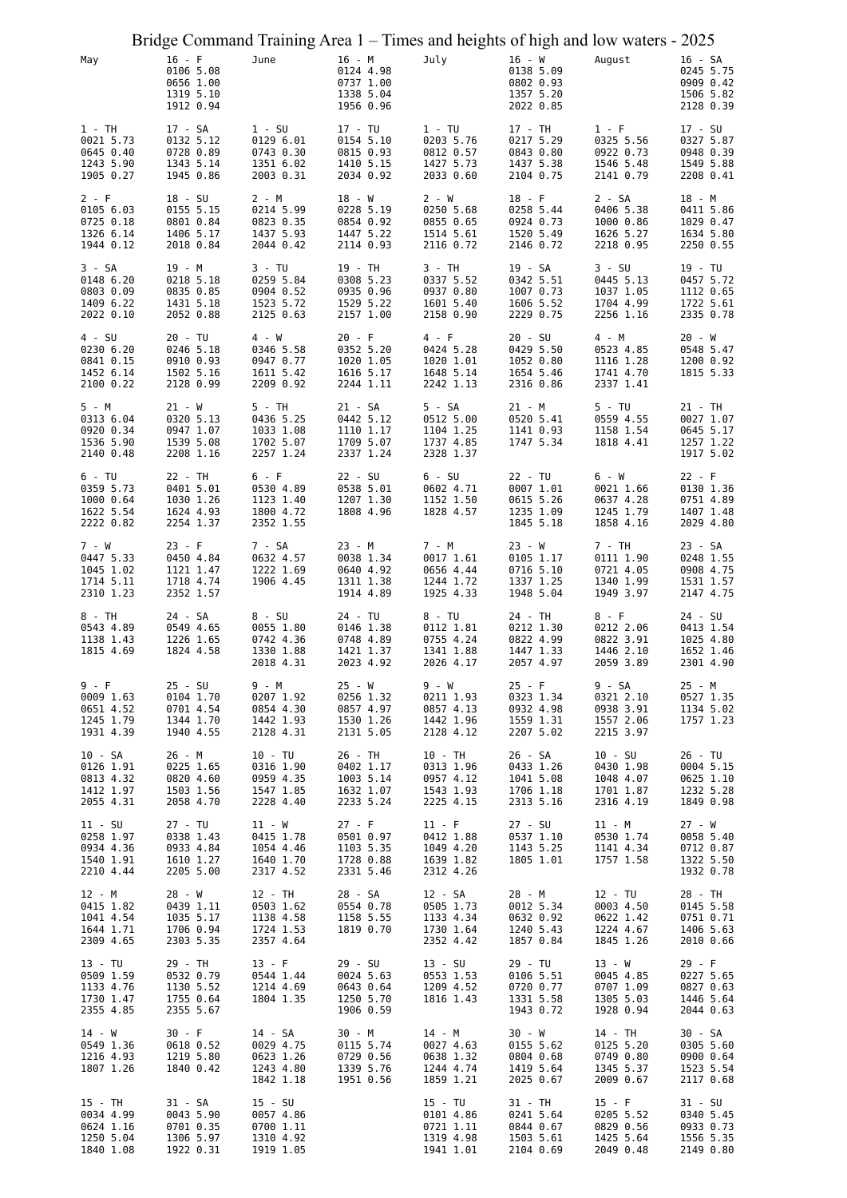| May                                                           | Bridge Command Training Area 1 – Times and heights of high and low waters - 2025<br>$16 - F$ | June                                                         | 16 - M                                                        | July                                                          | $16 - W$                                                     | August                                                        | 16 - SA                                                      |
|---------------------------------------------------------------|----------------------------------------------------------------------------------------------|--------------------------------------------------------------|---------------------------------------------------------------|---------------------------------------------------------------|--------------------------------------------------------------|---------------------------------------------------------------|--------------------------------------------------------------|
|                                                               | 0106 5.08<br>0656 1.00<br>1319 5.10<br>1912 0.94                                             |                                                              | 0124 4.98<br>0737 1.00<br>1338 5.04<br>1956 0.96              |                                                               | 0138 5.09<br>0802 0.93<br>1357 5.20<br>2022 0.85             |                                                               | 0245 5.75<br>0909 0.42<br>1506 5.82<br>2128 0.39             |
| $1 - TH$<br>0021 5.73<br>0645 0.40<br>1243 5.90<br>1905 0.27  | 17 - SA<br>0132 5.12<br>0728 0.89<br>1343 5.14<br>1945 0.86                                  | $1 - SU$<br>0129 6.01<br>0743 0.30<br>1351 6.02<br>2003 0.31 | 17 - TU<br>0154 5.10<br>0815 0.93<br>1410 5.15<br>2034 0.92   | $1 - TU$<br>0203 5.76<br>0812 0.57<br>1427 5.73<br>2033 0.60  | 17 - TH<br>0217 5.29<br>0843 0.80<br>1437 5.38<br>2104 0.75  | $1 - F$<br>0325 5.56<br>0922 0.73<br>1546 5.48<br>2141 0.79   | 17 - SU<br>0327 5.87<br>0948 0.39<br>1549 5.88<br>2208 0.41  |
| 2 - F<br>0105 6.03<br>0725 0.18<br>1326 6.14<br>1944 0.12     | $18 - SU$<br>0155 5.15<br>0801 0.84<br>1406 5.17<br>2018 0.84                                | 2 - M<br>0214 5.99<br>0823 0.35<br>1437 5.93<br>2044 0.42    | $18 - W$<br>0228 5.19<br>0854 0.92<br>1447 5.22<br>2114 0.93  | 2 - W<br>0250 5.68<br>0855 0.65<br>1514 5.61<br>2116 0.72     | $18 - F$<br>0258 5.44<br>0924 0.73<br>1520 5.49<br>2146 0.72 | $2 - SA$<br>0406 5.38<br>1000 0.86<br>1626 5.27<br>2218 0.95  | 18 - M<br>0411 5.86<br>1029 0.47<br>1634 5.80<br>2250 0.55   |
| 3 - SA<br>0148 6.20<br>0803 0.09<br>1409 6.22<br>2022 0.10    | 19 - M<br>0218 5.18<br>0835 0.85<br>1431 5.18<br>2052 0.88                                   | 3 - TU<br>0259 5.84<br>0904 0.52<br>1523 5.72<br>2125 0.63   | 19 - TH<br>0308 5.23<br>0935 0.96<br>1529 5.22<br>2157 1.00   | 3 - TH<br>0337 5.52<br>0937 0.80<br>1601 5.40<br>2158 0.90    | 19 - SA<br>0342 5.51<br>1007 0.73<br>1606 5.52<br>2229 0.75  | $3 - SU$<br>0445 5.13<br>1037 1.05<br>1704 4.99<br>2256 1.16  | 19 - TU<br>0457 5.72<br>1112 0.65<br>1722 5.61<br>2335 0.78  |
| $4 - SU$<br>0230 6.20<br>0841 0.15<br>1452 6.14<br>2100 0.22  | 20 - TU<br>0246 5.18<br>0910 0.93<br>1502 5.16<br>2128 0.99                                  | 4 - W<br>0346 5.58<br>0947 0.77<br>1611 5.42<br>2209 0.92    | $20 - F$<br>0352 5.20<br>1020 1.05<br>1616 5.17<br>2244 1.11  | 4 - F<br>0424 5.28<br>1020 1.01<br>1648 5.14<br>2242 1.13     | 20 - SU<br>0429 5.50<br>1052 0.80<br>1654 5.46<br>2316 0.86  | 4 - M<br>0523 4.85<br>1116 1.28<br>1741 4.70<br>2337 1.41     | $20 - W$<br>0548 5.47<br>1200 0.92<br>1815 5.33              |
| 5 - M<br>0313 6.04<br>0920 0.34<br>1536 5.90<br>2140 0.48     | 21 - W<br>0320 5.13<br>0947 1.07<br>1539 5.08<br>2208 1.16                                   | 5 - TH<br>0436 5.25<br>1033 1.08<br>1702 5.07<br>2257 1.24   | $21 - SA$<br>0442 5.12<br>1110 1.17<br>1709 5.07<br>2337 1.24 | 5 - SA<br>0512 5.00<br>1104 1.25<br>1737 4.85<br>2328 1.37    | 21 - M<br>0520 5.41<br>1141 0.93<br>1747 5.34                | $5 - TU$<br>0559 4.55<br>1158 1.54<br>1818 4.41               | 21 - TH<br>0027 1.07<br>0645 5.17<br>1257 1.22<br>1917 5.02  |
| 6 - TU<br>0359 5.73<br>1000 0.64<br>1622 5.54<br>2222 0.82    | 22 - TH<br>0401 5.01<br>1030 1.26<br>1624 4.93<br>2254 1.37                                  | 6 - F<br>0530 4.89<br>1123 1.40<br>1800 4.72<br>2352 1.55    | 22 - SU<br>0538 5.01<br>1207 1.30<br>1808 4.96                | $6 - SU$<br>0602 4.71<br>1152 1.50<br>1828 4.57               | 22 - TU<br>0007 1.01<br>0615 5.26<br>1235 1.09<br>1845 5.18  | 6 - W<br>0021 1.66<br>0637 4.28<br>1245 1.79<br>1858 4.16     | 22 - F<br>0130 1.36<br>0751 4.89<br>1407 1.48<br>2029 4.80   |
| 7 - W<br>0447 5.33<br>1045 1.02<br>1714 5.11<br>2310 1.23     | $23 - F$<br>0450 4.84<br>1121 1.47<br>1718 4.74<br>2352 1.57                                 | 7 - SA<br>0632 4.57<br>1222 1.69<br>1906 4.45                | $23 - M$<br>0038 1.34<br>0640 4.92<br>1311 1.38<br>1914 4.89  | 7 - M<br>0017 1.61<br>0656 4.44<br>1244 1.72<br>1925 4.33     | 23 - W<br>0105 1.17<br>0716 5.10<br>1337 1.25<br>1948 5.04   | 7 - TH<br>0111 1.90<br>0721 4.05<br>1340 1.99<br>1949 3.97    | 23 - SA<br>0248 1.55<br>0908 4.75<br>1531 1.57<br>2147 4.75  |
| 8 - TH<br>0543 4.89<br>1138 1.43<br>1815 4.69                 | 24 - SA<br>0549 4.65<br>1226 1.65<br>1824 4.58                                               | $8 - SU$<br>0055 1.80<br>0742 4.36<br>1330 1.88<br>2018 4.31 | 24 - TU<br>0146 1.38<br>0748 4.89<br>1421 1.37<br>2023 4.92   | 8 - TU<br>0112 1.81<br>0755 4.24<br>1341 1.88<br>2026 4.17    | 24 - TH<br>0212 1.30<br>0822 4.99<br>1447 1.33<br>2057 4.97  | 8 - F<br>0212 2.06<br>0822 3.91<br>1446 2.10<br>2059 3.89     | 24 - SU<br>0413 1.54<br>1025 4.80<br>1652 1.46<br>2301 4.90  |
| 9 - F<br>0009 1.63<br>0651 4.52<br>1245 1.79<br>1931 4.39     | $25 - SU$<br>0104 1.70<br>0701 4.54<br>1344 1.70<br>1940 4.55                                | 9 - M<br>0207 1.92<br>0854 4.30<br>1442 1.93<br>2128 4.31    | $25 - W$<br>0256 1.32<br>0857 4.97<br>1530 1.26<br>2131 5.05  | 9 - W<br>0211 1.93<br>0857 4.13<br>1442 1.96<br>2128 4.12     | $25 - F$<br>0323 1.34<br>0932 4.98<br>1559 1.31<br>2207 5.02 | 9 - SA<br>0321 2.10<br>0938 3.91<br>1557 2.06<br>2215 3.97    | 25 - M<br>0527 1.35<br>1134 5.02<br>1757 1.23                |
| $10 - SA$<br>0126 1.91<br>0813 4.32<br>1412 1.97<br>2055 4.31 | 26 - M<br>0225 1.65<br>0820 4.60<br>1503 1.56<br>2058 4.70                                   | 10 - TU<br>0316 1.90<br>0959 4.35<br>1547 1.85<br>2228 4.40  | 26 - TH<br>0402 1.17<br>1003 5.14<br>1632 1.07<br>2233 5.24   | $10 - TH$<br>0313 1.96<br>0957 4.12<br>1543 1.93<br>2225 4.15 | 26 - SA<br>0433 1.26<br>1041 5.08<br>1706 1.18<br>2313 5.16  | $10 - SU$<br>0430 1.98<br>1048 4.07<br>1701 1.87<br>2316 4.19 | 26 - TU<br>0004 5.15<br>0625 1.10<br>1232 5.28<br>1849 0.98  |
| $11 - SU$<br>0258 1.97<br>0934 4.36<br>1540 1.91<br>2210 4.44 | 27 - TU<br>0338 1.43<br>0933 4.84<br>1610 1.27<br>2205 5.00                                  | 11 - W<br>0415 1.78<br>1054 4.46<br>1640 1.70<br>2317 4.52   | $27 - F$<br>0501 0.97<br>1103 5.35<br>1728 0.88<br>2331 5.46  | $11 - F$<br>0412 1.88<br>1049 4.20<br>1639 1.82<br>2312 4.26  | 27 - SU<br>0537 1.10<br>1143 5.25<br>1805 1.01               | 11 - M<br>0530 1.74<br>1141 4.34<br>1757 1.58                 | $27 - W$<br>0058 5.40<br>0712 0.87<br>1322 5.50<br>1932 0.78 |
| 12 - M<br>0415 1.82<br>1041 4.54<br>1644 1.71<br>2309 4.65    | 28 - W<br>0439 1.11<br>1035 5.17<br>1706 0.94<br>2303 5.35                                   | 12 - TH<br>0503 1.62<br>1138 4.58<br>1724 1.53<br>2357 4.64  | 28 - SA<br>0554 0.78<br>1158 5.55<br>1819 0.70                | 12 - SA<br>0505 1.73<br>1133 4.34<br>1730 1.64<br>2352 4.42   | 28 - M<br>0012 5.34<br>0632 0.92<br>1240 5.43<br>1857 0.84   | 12 - TU<br>0003 4.50<br>0622 1.42<br>1224 4.67<br>1845 1.26   | 28 - TH<br>0145 5.58<br>0751 0.71<br>1406 5.63<br>2010 0.66  |
| 13 - TU<br>0509 1.59<br>1133 4.76<br>1730 1.47<br>2355 4.85   | 29 - TH<br>0532 0.79<br>1130 5.52<br>1755 0.64<br>2355 5.67                                  | $13 - F$<br>0544 1.44<br>1214 4.69<br>1804 1.35              | $29 - SU$<br>0024 5.63<br>0643 0.64<br>1250 5.70<br>1906 0.59 | $13 - SU$<br>0553 1.53<br>1209 4.52<br>1816 1.43              | 29 - TU<br>0106 5.51<br>0720 0.77<br>1331 5.58<br>1943 0.72  | 13 - W<br>0045 4.85<br>0707 1.09<br>1305 5.03<br>1928 0.94    | 29 - F<br>0227 5.65<br>0827 0.63<br>1446 5.64<br>2044 0.63   |
| $14 - W$<br>0549 1.36<br>1216 4.93<br>1807 1.26               | $30 - F$<br>0618 0.52<br>1219 5.80<br>1840 0.42                                              | 14 - SA<br>0029 4.75<br>0623 1.26<br>1243 4.80<br>1842 1.18  | 30 - M<br>0115 5.74<br>0729 0.56<br>1339 5.76<br>1951 0.56    | 14 - M<br>0027 4.63<br>0638 1.32<br>1244 4.74<br>1859 1.21    | 30 - W<br>0155 5.62<br>0804 0.68<br>1419 5.64<br>2025 0.67   | 14 - TH<br>0125 5.20<br>0749 0.80<br>1345 5.37<br>2009 0.67   | 30 - SA<br>0305 5.60<br>0900 0.64<br>1523 5.54<br>2117 0.68  |
| 15 - TH<br>0034 4.99<br>0624 1.16<br>1250 5.04<br>1840 1.08   | 31 - SA<br>0043 5.90<br>0701 0.35<br>1306 5.97<br>1922 0.31                                  | 15 - SU<br>0057 4.86<br>0700 1.11<br>1310 4.92<br>1919 1.05  |                                                               | $15 - TU$<br>0101 4.86<br>0721 1.11<br>1319 4.98<br>1941 1.01 | 31 - TH<br>0241 5.64<br>0844 0.67<br>1503 5.61<br>2104 0.69  | $15 - F$<br>0205 5.52<br>0829 0.56<br>1425 5.64<br>2049 0.48  | 31 - SU<br>0340 5.45<br>0933 0.73<br>1556 5.35<br>2149 0.80  |